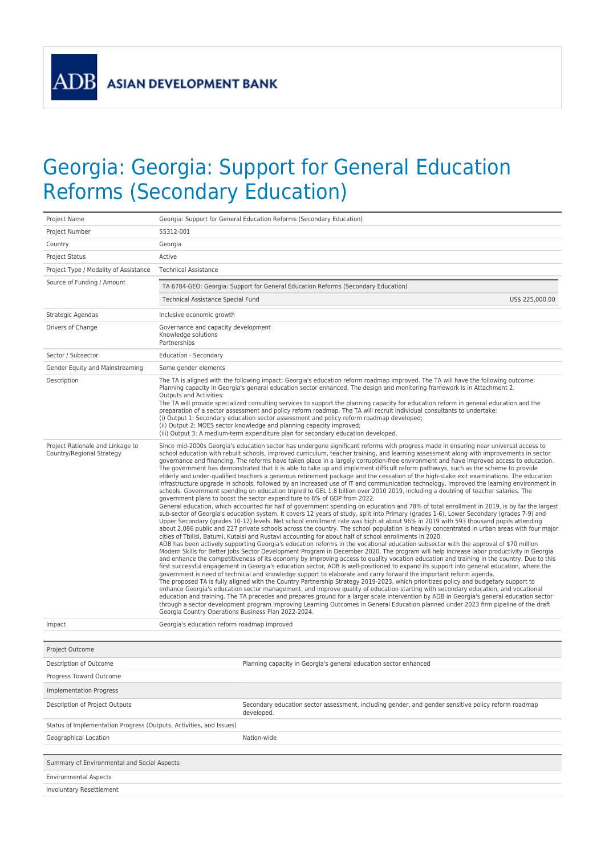**ADB** 

## Georgia: Georgia: Support for General Education Reforms (Secondary Education)

| Project Name                                                        | Georgia: Support for General Education Reforms (Secondary Education)                                                                                                                                                                                                                                                                                                                                                                                                                                                                                                                                                                                                                                                                                                                                                                                                                                                                                                                                                                                                                                                                                                                                                                                                                                                                                                                                                                                                                                                                                                                                                                                                                                                                                                                                                                                                                                                                                                                                                                                                                                                                                                                                                                                                                                                                                                                                                                                                                                                                                                                                                                                                                                                                                                                                                                                                                                                                                                                                                                                                                      |  |  |  |
|---------------------------------------------------------------------|-------------------------------------------------------------------------------------------------------------------------------------------------------------------------------------------------------------------------------------------------------------------------------------------------------------------------------------------------------------------------------------------------------------------------------------------------------------------------------------------------------------------------------------------------------------------------------------------------------------------------------------------------------------------------------------------------------------------------------------------------------------------------------------------------------------------------------------------------------------------------------------------------------------------------------------------------------------------------------------------------------------------------------------------------------------------------------------------------------------------------------------------------------------------------------------------------------------------------------------------------------------------------------------------------------------------------------------------------------------------------------------------------------------------------------------------------------------------------------------------------------------------------------------------------------------------------------------------------------------------------------------------------------------------------------------------------------------------------------------------------------------------------------------------------------------------------------------------------------------------------------------------------------------------------------------------------------------------------------------------------------------------------------------------------------------------------------------------------------------------------------------------------------------------------------------------------------------------------------------------------------------------------------------------------------------------------------------------------------------------------------------------------------------------------------------------------------------------------------------------------------------------------------------------------------------------------------------------------------------------------------------------------------------------------------------------------------------------------------------------------------------------------------------------------------------------------------------------------------------------------------------------------------------------------------------------------------------------------------------------------------------------------------------------------------------------------------------------|--|--|--|
| Project Number                                                      | 55312-001                                                                                                                                                                                                                                                                                                                                                                                                                                                                                                                                                                                                                                                                                                                                                                                                                                                                                                                                                                                                                                                                                                                                                                                                                                                                                                                                                                                                                                                                                                                                                                                                                                                                                                                                                                                                                                                                                                                                                                                                                                                                                                                                                                                                                                                                                                                                                                                                                                                                                                                                                                                                                                                                                                                                                                                                                                                                                                                                                                                                                                                                                 |  |  |  |
| Country                                                             | Georgia                                                                                                                                                                                                                                                                                                                                                                                                                                                                                                                                                                                                                                                                                                                                                                                                                                                                                                                                                                                                                                                                                                                                                                                                                                                                                                                                                                                                                                                                                                                                                                                                                                                                                                                                                                                                                                                                                                                                                                                                                                                                                                                                                                                                                                                                                                                                                                                                                                                                                                                                                                                                                                                                                                                                                                                                                                                                                                                                                                                                                                                                                   |  |  |  |
| <b>Project Status</b>                                               | Active                                                                                                                                                                                                                                                                                                                                                                                                                                                                                                                                                                                                                                                                                                                                                                                                                                                                                                                                                                                                                                                                                                                                                                                                                                                                                                                                                                                                                                                                                                                                                                                                                                                                                                                                                                                                                                                                                                                                                                                                                                                                                                                                                                                                                                                                                                                                                                                                                                                                                                                                                                                                                                                                                                                                                                                                                                                                                                                                                                                                                                                                                    |  |  |  |
| Project Type / Modality of Assistance                               | <b>Technical Assistance</b>                                                                                                                                                                                                                                                                                                                                                                                                                                                                                                                                                                                                                                                                                                                                                                                                                                                                                                                                                                                                                                                                                                                                                                                                                                                                                                                                                                                                                                                                                                                                                                                                                                                                                                                                                                                                                                                                                                                                                                                                                                                                                                                                                                                                                                                                                                                                                                                                                                                                                                                                                                                                                                                                                                                                                                                                                                                                                                                                                                                                                                                               |  |  |  |
| Source of Funding / Amount                                          | TA 6784-GEO: Georgia: Support for General Education Reforms (Secondary Education)                                                                                                                                                                                                                                                                                                                                                                                                                                                                                                                                                                                                                                                                                                                                                                                                                                                                                                                                                                                                                                                                                                                                                                                                                                                                                                                                                                                                                                                                                                                                                                                                                                                                                                                                                                                                                                                                                                                                                                                                                                                                                                                                                                                                                                                                                                                                                                                                                                                                                                                                                                                                                                                                                                                                                                                                                                                                                                                                                                                                         |  |  |  |
|                                                                     | US\$ 225,000.00<br>Technical Assistance Special Fund                                                                                                                                                                                                                                                                                                                                                                                                                                                                                                                                                                                                                                                                                                                                                                                                                                                                                                                                                                                                                                                                                                                                                                                                                                                                                                                                                                                                                                                                                                                                                                                                                                                                                                                                                                                                                                                                                                                                                                                                                                                                                                                                                                                                                                                                                                                                                                                                                                                                                                                                                                                                                                                                                                                                                                                                                                                                                                                                                                                                                                      |  |  |  |
| Strategic Agendas                                                   | Inclusive economic growth                                                                                                                                                                                                                                                                                                                                                                                                                                                                                                                                                                                                                                                                                                                                                                                                                                                                                                                                                                                                                                                                                                                                                                                                                                                                                                                                                                                                                                                                                                                                                                                                                                                                                                                                                                                                                                                                                                                                                                                                                                                                                                                                                                                                                                                                                                                                                                                                                                                                                                                                                                                                                                                                                                                                                                                                                                                                                                                                                                                                                                                                 |  |  |  |
| Drivers of Change                                                   | Governance and capacity development<br>Knowledge solutions<br>Partnerships                                                                                                                                                                                                                                                                                                                                                                                                                                                                                                                                                                                                                                                                                                                                                                                                                                                                                                                                                                                                                                                                                                                                                                                                                                                                                                                                                                                                                                                                                                                                                                                                                                                                                                                                                                                                                                                                                                                                                                                                                                                                                                                                                                                                                                                                                                                                                                                                                                                                                                                                                                                                                                                                                                                                                                                                                                                                                                                                                                                                                |  |  |  |
| Sector / Subsector                                                  | Education - Secondary                                                                                                                                                                                                                                                                                                                                                                                                                                                                                                                                                                                                                                                                                                                                                                                                                                                                                                                                                                                                                                                                                                                                                                                                                                                                                                                                                                                                                                                                                                                                                                                                                                                                                                                                                                                                                                                                                                                                                                                                                                                                                                                                                                                                                                                                                                                                                                                                                                                                                                                                                                                                                                                                                                                                                                                                                                                                                                                                                                                                                                                                     |  |  |  |
| Gender Equity and Mainstreaming                                     | Some gender elements                                                                                                                                                                                                                                                                                                                                                                                                                                                                                                                                                                                                                                                                                                                                                                                                                                                                                                                                                                                                                                                                                                                                                                                                                                                                                                                                                                                                                                                                                                                                                                                                                                                                                                                                                                                                                                                                                                                                                                                                                                                                                                                                                                                                                                                                                                                                                                                                                                                                                                                                                                                                                                                                                                                                                                                                                                                                                                                                                                                                                                                                      |  |  |  |
| Description                                                         | The TA is aligned with the following impact: Georgia's education reform roadmap improved. The TA will have the following outcome:<br>Planning capacity in Georgia's general education sector enhanced. The design and monitoring framework is in Attachment 2.<br>Outputs and Activities:<br>The TA will provide specialized consulting services to support the planning capacity for education reform in general education and the<br>preparation of a sector assessment and policy reform roadmap. The TA will recruit individual consultants to undertake:<br>(i) Output 1: Secondary education sector assessment and policy reform roadmap developed:<br>(ii) Output 2: MOES sector knowledge and planning capacity improved;<br>(iii) Output 3: A medium-term expenditure plan for secondary education developed.                                                                                                                                                                                                                                                                                                                                                                                                                                                                                                                                                                                                                                                                                                                                                                                                                                                                                                                                                                                                                                                                                                                                                                                                                                                                                                                                                                                                                                                                                                                                                                                                                                                                                                                                                                                                                                                                                                                                                                                                                                                                                                                                                                                                                                                                    |  |  |  |
| Project Rationale and Linkage to<br>Country/Regional Strategy       | Since mid-2000s Georgia's education sector has undergone significant reforms with progress made in ensuring near universal access to<br>school education with rebuilt schools, improved curriculum, teacher training, and learning assessment along with improvements in sector<br>governance and financing. The reforms have taken place in a largely corruption-free environment and have improved access to education.<br>The government has demonstrated that it is able to take up and implement difficult reform pathways, such as the scheme to provide<br>elderly and under-qualified teachers a generous retirement package and the cessation of the high-stake exit examinations. The education<br>infrastructure upgrade in schools, followed by an increased use of IT and communication technology, improved the learning environment in<br>schools. Government spending on education tripled to GEL 1.8 billion over 2010 2019, including a doubling of teacher salaries. The<br>government plans to boost the sector expenditure to 6% of GDP from 2022.<br>General education, which accounted for half of government spending on education and 78% of total enrollment in 2019, is by far the largest<br>sub-sector of Georgia's education system. It covers 12 years of study, split into Primary (grades 1-6), Lower Secondary (grades 7-9) and<br>Upper Secondary (grades 10-12) levels. Net school enrollment rate was high at about 96% in 2019 with 593 thousand pupils attending<br>about 2,086 public and 227 private schools across the country. The school population is heavily concentrated in urban areas with four major<br>cities of Tbilisi, Batumi, Kutaisi and Rustavi accounting for about half of school enrollments in 2020.<br>ADB has been actively supporting Georgia's education reforms in the vocational education subsector with the approval of \$70 million<br>Modern Skills for Better Jobs Sector Development Program in December 2020. The program will help increase labor productivity in Georgia<br>and enhance the competitiveness of its economy by improving access to quality vocation education and training in the country. Due to this<br>first successful engagement in Georgia's education sector, ADB is well-positioned to expand its support into general education, where the<br>government is need of technical and knowledge support to elaborate and carry forward the important reform agenda.<br>The proposed TA is fully aligned with the Country Partnership Strategy 2019-2023, which prioritizes policy and budgetary support to<br>enhance Georgia's education sector management, and improve quality of education starting with secondary education, and vocational<br>education and training. The TA precedes and prepares ground for a larger scale intervention by ADB in Georgia's general education sector<br>through a sector development program Improving Learning Outcomes in General Education planned under 2023 firm pipeline of the draft<br>Georgia Country Operations Business Plan 2022-2024. |  |  |  |
| Impact                                                              | Georgia's education reform roadmap improved                                                                                                                                                                                                                                                                                                                                                                                                                                                                                                                                                                                                                                                                                                                                                                                                                                                                                                                                                                                                                                                                                                                                                                                                                                                                                                                                                                                                                                                                                                                                                                                                                                                                                                                                                                                                                                                                                                                                                                                                                                                                                                                                                                                                                                                                                                                                                                                                                                                                                                                                                                                                                                                                                                                                                                                                                                                                                                                                                                                                                                               |  |  |  |
| Project Outcome                                                     |                                                                                                                                                                                                                                                                                                                                                                                                                                                                                                                                                                                                                                                                                                                                                                                                                                                                                                                                                                                                                                                                                                                                                                                                                                                                                                                                                                                                                                                                                                                                                                                                                                                                                                                                                                                                                                                                                                                                                                                                                                                                                                                                                                                                                                                                                                                                                                                                                                                                                                                                                                                                                                                                                                                                                                                                                                                                                                                                                                                                                                                                                           |  |  |  |
| Description of Outcome                                              | Planning capacity in Georgia's general education sector enhanced                                                                                                                                                                                                                                                                                                                                                                                                                                                                                                                                                                                                                                                                                                                                                                                                                                                                                                                                                                                                                                                                                                                                                                                                                                                                                                                                                                                                                                                                                                                                                                                                                                                                                                                                                                                                                                                                                                                                                                                                                                                                                                                                                                                                                                                                                                                                                                                                                                                                                                                                                                                                                                                                                                                                                                                                                                                                                                                                                                                                                          |  |  |  |
| Progress Toward Outcome                                             |                                                                                                                                                                                                                                                                                                                                                                                                                                                                                                                                                                                                                                                                                                                                                                                                                                                                                                                                                                                                                                                                                                                                                                                                                                                                                                                                                                                                                                                                                                                                                                                                                                                                                                                                                                                                                                                                                                                                                                                                                                                                                                                                                                                                                                                                                                                                                                                                                                                                                                                                                                                                                                                                                                                                                                                                                                                                                                                                                                                                                                                                                           |  |  |  |
| <b>Implementation Progress</b>                                      |                                                                                                                                                                                                                                                                                                                                                                                                                                                                                                                                                                                                                                                                                                                                                                                                                                                                                                                                                                                                                                                                                                                                                                                                                                                                                                                                                                                                                                                                                                                                                                                                                                                                                                                                                                                                                                                                                                                                                                                                                                                                                                                                                                                                                                                                                                                                                                                                                                                                                                                                                                                                                                                                                                                                                                                                                                                                                                                                                                                                                                                                                           |  |  |  |
| Description of Project Outputs                                      | Secondary education sector assessment, including gender, and gender sensitive policy reform roadmap<br>developed.                                                                                                                                                                                                                                                                                                                                                                                                                                                                                                                                                                                                                                                                                                                                                                                                                                                                                                                                                                                                                                                                                                                                                                                                                                                                                                                                                                                                                                                                                                                                                                                                                                                                                                                                                                                                                                                                                                                                                                                                                                                                                                                                                                                                                                                                                                                                                                                                                                                                                                                                                                                                                                                                                                                                                                                                                                                                                                                                                                         |  |  |  |
| Status of Implementation Progress (Outputs, Activities, and Issues) |                                                                                                                                                                                                                                                                                                                                                                                                                                                                                                                                                                                                                                                                                                                                                                                                                                                                                                                                                                                                                                                                                                                                                                                                                                                                                                                                                                                                                                                                                                                                                                                                                                                                                                                                                                                                                                                                                                                                                                                                                                                                                                                                                                                                                                                                                                                                                                                                                                                                                                                                                                                                                                                                                                                                                                                                                                                                                                                                                                                                                                                                                           |  |  |  |
| Geographical Location                                               | Nation-wide                                                                                                                                                                                                                                                                                                                                                                                                                                                                                                                                                                                                                                                                                                                                                                                                                                                                                                                                                                                                                                                                                                                                                                                                                                                                                                                                                                                                                                                                                                                                                                                                                                                                                                                                                                                                                                                                                                                                                                                                                                                                                                                                                                                                                                                                                                                                                                                                                                                                                                                                                                                                                                                                                                                                                                                                                                                                                                                                                                                                                                                                               |  |  |  |
|                                                                     |                                                                                                                                                                                                                                                                                                                                                                                                                                                                                                                                                                                                                                                                                                                                                                                                                                                                                                                                                                                                                                                                                                                                                                                                                                                                                                                                                                                                                                                                                                                                                                                                                                                                                                                                                                                                                                                                                                                                                                                                                                                                                                                                                                                                                                                                                                                                                                                                                                                                                                                                                                                                                                                                                                                                                                                                                                                                                                                                                                                                                                                                                           |  |  |  |
| Summary of Environmental and Social Aspects                         |                                                                                                                                                                                                                                                                                                                                                                                                                                                                                                                                                                                                                                                                                                                                                                                                                                                                                                                                                                                                                                                                                                                                                                                                                                                                                                                                                                                                                                                                                                                                                                                                                                                                                                                                                                                                                                                                                                                                                                                                                                                                                                                                                                                                                                                                                                                                                                                                                                                                                                                                                                                                                                                                                                                                                                                                                                                                                                                                                                                                                                                                                           |  |  |  |
| <b>Environmental Aspects</b>                                        |                                                                                                                                                                                                                                                                                                                                                                                                                                                                                                                                                                                                                                                                                                                                                                                                                                                                                                                                                                                                                                                                                                                                                                                                                                                                                                                                                                                                                                                                                                                                                                                                                                                                                                                                                                                                                                                                                                                                                                                                                                                                                                                                                                                                                                                                                                                                                                                                                                                                                                                                                                                                                                                                                                                                                                                                                                                                                                                                                                                                                                                                                           |  |  |  |
| Involuntary Resettlement                                            |                                                                                                                                                                                                                                                                                                                                                                                                                                                                                                                                                                                                                                                                                                                                                                                                                                                                                                                                                                                                                                                                                                                                                                                                                                                                                                                                                                                                                                                                                                                                                                                                                                                                                                                                                                                                                                                                                                                                                                                                                                                                                                                                                                                                                                                                                                                                                                                                                                                                                                                                                                                                                                                                                                                                                                                                                                                                                                                                                                                                                                                                                           |  |  |  |